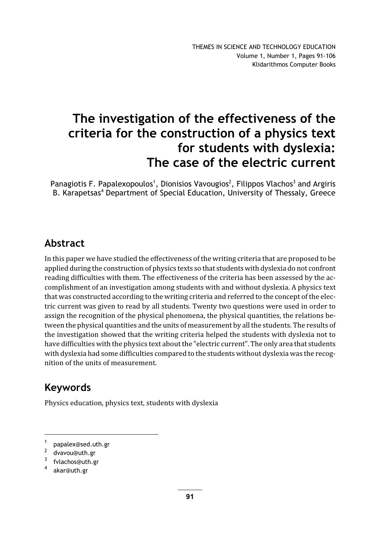# The investigation of the effectiveness of the criteria for the construction of a physics text for students with dyslexia: The case of the electric current

Panagiotis F. Papalexopoulos<sup>1</sup>, Dionisios Vavougios<sup>2</sup>, Filippos Vlachos<sup>3</sup> and Argiris B. Karapetsas<sup>4</sup> Department of Special Education, University of Thessaly, Greece

### Abstract

In this paper we have studied the effectiveness of the writing criteria that are proposed to be applied during the construction of physics texts so that students with dyslexia do not confront reading difficulties with them. The effectiveness of the criteria has been assessed by the accomplishment of an investigation among students with and without dyslexia. A physics text that was constructed according to the writing criteria and referred to the concept of the electric current was given to read by all students. Twenty two questions were used in order to assign the recognition of the physical phenomena, the physical quantities, the relations between the physical quantities and the units of measurement by all the students. The results of the investigation showed that the writing criteria helped the students with dyslexia not to have difficulties with the physics text about the "electric current". The only area that students with dyslexia had some difficulties compared to the students without dyslexia was the recognition of the units of measurement.

# Keywords

Physics education, physics text, students with dyslexia

<sup>1</sup> papalex@sed.uth.gr

<sup>2</sup> dvavou@uth.gr

<sup>3</sup> fvlachos@uth.gr

<sup>4</sup> akar@uth.gr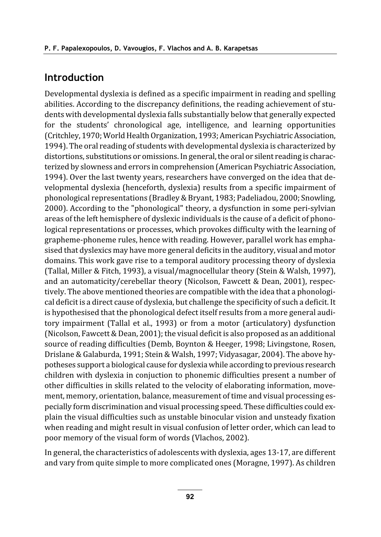#### **Introduction**

Developmental dyslexia is defined as a specific impairment in reading and spelling abilities. According to the discrepancy definitions, the reading achievement of students with developmental dyslexia falls substantially below that generally expected for the students' chronological age, intelligence, and learning opportunities (Critchley, 1970; World Health Organization, 1993; American Psychiatric Association, 1994). The oral reading of students with developmental dyslexia is characterized by distortions, substitutions or omissions. In general, the oral or silent reading is characterized by slowness and errors in comprehension (American Psychiatric Association, 1994). Over the last twenty years, researchers have converged on the idea that developmental dyslexia (henceforth, dyslexia) results from a specific impairment of phonological representations (Bradley & Bryant, 1983; Padeliadou, 2000; Snowling, 2000). According to the "phonological" theory, a dysfunction in some peri-sylvian areas of the left hemisphere of dyslexic individuals is the cause of a deficit of phonological representations or processes, which provokes difficulty with the learning of grapheme-phoneme rules, hence with reading. However, parallel work has emphasised that dyslexics may have more general deficits in the auditory, visual and motor domains. This work gave rise to a temporal auditory processing theory of dyslexia (Tallal, Miller & Fitch, 1993), a visual/magnocellular theory (Stein & Walsh, 1997), and an automaticity/cerebellar theory (Nicolson, Fawcett & Dean, 2001), respectively. The above mentioned theories are compatible with the idea that a phonological deficit is a direct cause of dyslexia, but challenge the specificity of such a deficit. It is hypothesised that the phonological defect itself results from a more general auditory impairment (Tallal et al., 1993) or from a motor (articulatory) dysfunction (Nicolson, Fawcett & Dean, 2001); the visual deficit is also proposed as an additional source of reading difficulties (Demb, Boynton & Heeger, 1998; Livingstone, Rosen, Drislane & Galaburda, 1991; Stein & Walsh, 1997; Vidyasagar, 2004). The above hypotheses support a biological cause for dyslexia while according to previous research children with dyslexia in conjuction to phonemic difficulties present a number of other difficulties in skills related to the velocity of elaborating information, movement, memory, orientation, balance, measurement of time and visual processing especially form discrimination and visual processing speed. These difficulties could explain the visual difficulties such as unstable binocular vision and unsteady fixation when reading and might result in visual confusion of letter order, which can lead to poor memory of the visual form of words (Vlachos, 2002).

In general, the characteristics of adolescents with dyslexia, ages 13-17, are different and vary from quite simple to more complicated ones (Moragne, 1997). As children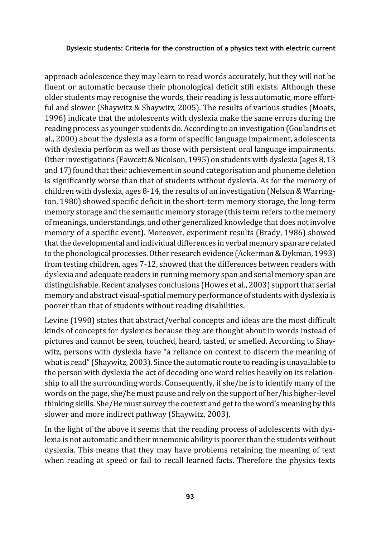approach adolescence they may learn to read words accurately, but they will not be fluent or automatic because their phonological deficit still exists. Although these older students may recognise the words, their reading is less automatic, more effortful and slower (Shaywitz & Shaywitz, 2005). The results of various studies (Moats, 1996) indicate that the adolescents with dyslexia make the same errors during the reading process as younger students do. According to an investigation (Goulandris et al., 2000) about the dyslexia as a form of specific language impairment, adolescents with dyslexia perform as well as those with persistent oral language impairments. Other investigations (Fawcett & Nicolson, 1995) on students with dyslexia (ages 8, 13 and 17) found that their achievement in sound categorisation and phoneme deletion is significantly worse than that of students without dyslexia. As for the memory of children with dyslexia, ages 8-14, the results of an investigation (Nelson & Warrington, 1980) showed specific deficit in the short-term memory storage, the long-term memory storage and the semantic memory storage (this term refers to the memory of meanings, understandings, and other generalized knowledge that does not involve memory of a specific event). Moreover, experiment results (Brady, 1986) showed that the developmental and individual differences in verbal memory span are related to the phonological processes. Other research evidence (Ackerman & Dykman, 1993) from testing children, ages 7-12, showed that the differences between readers with dyslexia and adequate readers in running memory span and serial memory span are distinguishable. Recent analyses conclusions (Howes et al., 2003) support that serial memory and abstract visual-spatial memory performance of students with dyslexia is poorer than that of students without reading disabilities.

Levine (1990) states that abstract/verbal concepts and ideas are the most difficult kinds of concepts for dyslexics because they are thought about in words instead of pictures and cannot be seen, touched, heard, tasted, or smelled. According to Shaywitz, persons with dyslexia have "a reliance on context to discern the meaning of what is read" (Shaywitz, 2003). Since the automatic route to reading is unavailable to the person with dyslexia the act of decoding one word relies heavily on its relationship to all the surrounding words. Consequently, if she/he is to identify many of the words on the page, she/he must pause and rely on the support of her/his higher-level thinking skills. She/He must survey the context and get to the word's meaning by this slower and more indirect pathway (Shaywitz, 2003).

In the light of the above it seems that the reading process of adolescents with dyslexia is not automatic and their mnemonic ability is poorer than the students without dyslexia. This means that they may have problems retaining the meaning of text when reading at speed or fail to recall learned facts. Therefore the physics texts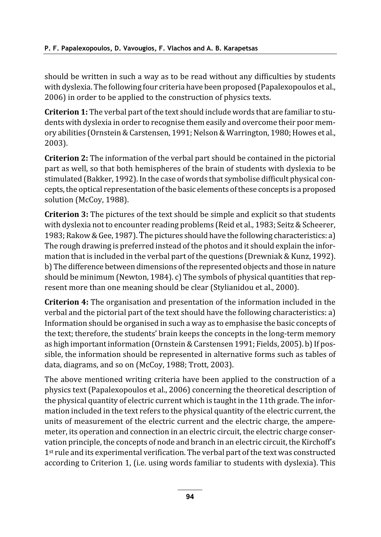should be written in such a way as to be read without any difficulties by students with dyslexia. The following four criteria have been proposed (Papalexopoulos et al., 2006) in order to be applied to the construction of physics texts.

Criterion 1: The verbal part of the text should include words that are familiar to students with dyslexia in order to recognise them easily and overcome their poor memory abilities (Ornstein & Carstensen, 1991; Nelson & Warrington, 1980; Howes et al., 2003).

**Criterion 2:** The information of the verbal part should be contained in the pictorial part as well, so that both hemispheres of the brain of students with dyslexia to be stimulated (Bakker, 1992). In the case of words that symbolise difficult physical concepts, the optical representation of the basic elements of these concepts is a proposed solution (McCoy, 1988).

**Criterion 3:** The pictures of the text should be simple and explicit so that students with dyslexia not to encounter reading problems (Reid et al., 1983; Seitz & Scheerer, 1983; Rakow & Gee, 1987). The pictures should have the following characteristics: a) The rough drawing is preferred instead of the photos and it should explain the information that is included in the verbal part of the questions (Drewniak & Kunz, 1992). b) The difference between dimensions of the represented objects and those in nature should be minimum (Newton, 1984). c) The symbols of physical quantities that represent more than one meaning should be clear (Stylianidou et al., 2000).

**Criterion 4:** The organisation and presentation of the information included in the verbal and the pictorial part of the text should have the following characteristics: a) Information should be organised in such a way as to emphasise the basic concepts of the text; therefore, the students' brain keeps the concepts in the long-term memory as high important information (Ornstein & Carstensen 1991; Fields, 2005). b) If possible, the information should be represented in alternative forms such as tables of data, diagrams, and so on (McCoy, 1988; Trott, 2003).

The above mentioned writing criteria have been applied to the construction of a physics text (Papalexopoulos et al., 2006) concerning the theoretical description of the physical quantity of electric current which is taught in the 11th grade. The information included in the text refers to the physical quantity of the electric current, the units of measurement of the electric current and the electric charge, the amperemeter, its operation and connection in an electric circuit, the electric charge conservation principle, the concepts of node and branch in an electric circuit, the Kirchoff's 1<sup>st</sup> rule and its experimental verification. The verbal part of the text was constructed according to Criterion 1, (i.e. using words familiar to students with dyslexia). This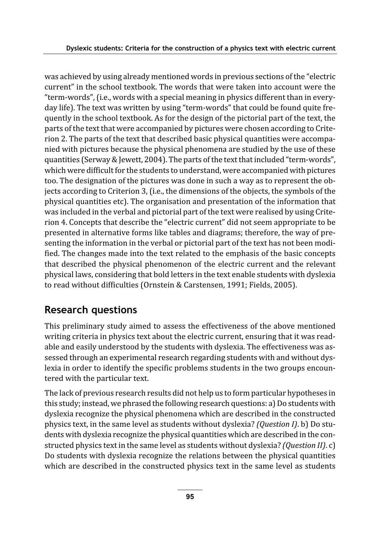was achieved by using already mentioned words in previous sections of the "electric" current" in the school textbook. The words that were taken into account were the "term-words", (i.e., words with a special meaning in physics different than in everyday life). The text was written by using "term-words" that could be found quite frequently in the school textbook. As for the design of the pictorial part of the text, the parts of the text that were accompanied by pictures were chosen according to Criterion 2. The parts of the text that described basic physical quantities were accompanied with pictures because the physical phenomena are studied by the use of these quantities (Serway & Jewett, 2004). The parts of the text that included "term-words", which were difficult for the students to understand, were accompanied with pictures too. The designation of the pictures was done in such a way as to represent the objects according to Criterion 3, (i.e., the dimensions of the objects, the symbols of the physical quantities etc). The organisation and presentation of the information that was included in the verbal and pictorial part of the text were realised by using Criterion 4. Concepts that describe the "electric current" did not seem appropriate to be presented in alternative forms like tables and diagrams; therefore, the way of presenting the information in the verbal or pictorial part of the text has not been modified. The changes made into the text related to the emphasis of the basic concepts that described the physical phenomenon of the electric current and the relevant physical laws, considering that bold letters in the text enable students with dyslexia to read without difficulties (Ornstein & Carstensen, 1991; Fields, 2005).

# **Research questions**

This preliminary study aimed to assess the effectiveness of the above mentioned writing criteria in physics text about the electric current, ensuring that it was readable and easily understood by the students with dyslexia. The effectiveness was assessed through an experimental research regarding students with and without dyslexia in order to identify the specific problems students in the two groups encountered with the particular text.

The lack of previous research results did not help us to form particular hypotheses in this study; instead, we phrased the following research questions: a) Do students with dyslexia recognize the physical phenomena which are described in the constructed physics text, in the same level as students without dyslexia? (Question I). b) Do students with dyslexia recognize the physical quantities which are described in the constructed physics text in the same level as students without dyslexia? (Question II). c) Do students with dyslexia recognize the relations between the physical quantities which are described in the constructed physics text in the same level as students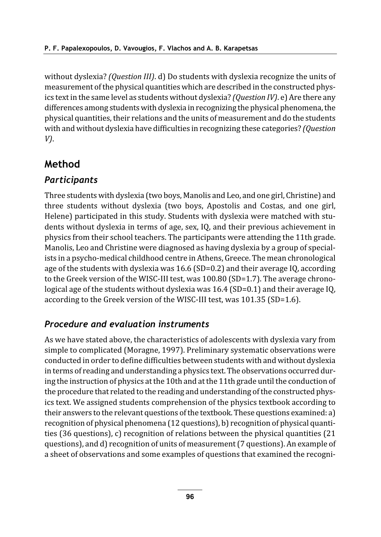without dyslexia? (Question III). d) Do students with dyslexia recognize the units of measurement of the physical quantities which are described in the constructed physics text in the same level as students without dyslexia? (Question IV). e) Are there any differences among students with dyslexia in recognizing the physical phenomena, the physical quantities, their relations and the units of measurement and do the students with and without dyslexia have difficulties in recognizing these categories? (Question  $V$ ).

### Method

#### **Participants**

Three students with dyslexia (two boys, Manolis and Leo, and one girl, Christine) and three students without dyslexia (two boys, Apostolis and Costas, and one girl, Helene) participated in this study. Students with dyslexia were matched with students without dyslexia in terms of age, sex, IQ, and their previous achievement in physics from their school teachers. The participants were attending the 11th grade. Manolis, Leo and Christine were diagnosed as having dyslexia by a group of specialists in a psycho-medical childhood centre in Athens, Greece. The mean chronological age of the students with dyslexia was  $16.6$  (SD=0.2) and their average IQ, according to the Greek version of the WISC-III test, was 100.80 (SD=1.7). The average chronological age of the students without dyslexia was 16.4 (SD=0.1) and their average IQ, according to the Greek version of the WISC-III test, was 101.35 (SD=1.6).

#### Procedure and evaluation instruments

As we have stated above, the characteristics of adolescents with dyslexia vary from simple to complicated (Moragne, 1997). Preliminary systematic observations were conducted in order to define difficulties between students with and without dyslexia in terms of reading and understanding a physics text. The observations occurred during the instruction of physics at the 10th and at the 11th grade until the conduction of the procedure that related to the reading and understanding of the constructed physics text. We assigned students comprehension of the physics textbook according to their answers to the relevant questions of the textbook. These questions examined: a) recognition of physical phenomena (12 questions), b) recognition of physical quantities (36 questions), c) recognition of relations between the physical quantities (21 questions), and d) recognition of units of measurement (7 questions). An example of a sheet of observations and some examples of questions that examined the recogni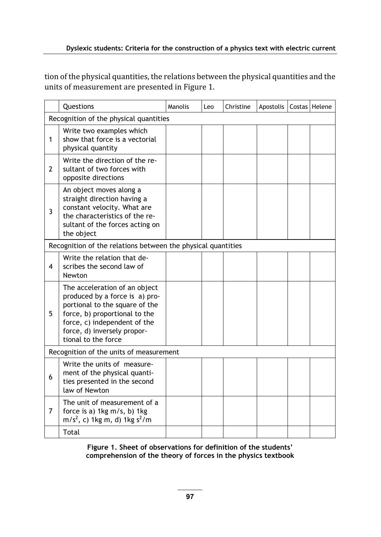tion of the physical quantities, the relations between the physical quantities and the units of measurement are presented in Figure 1.

|                                        | Questions                                                                                                                                                                                                                | Manolis | Leo | Christine | Apostolis |  | Costas Helene |  |
|----------------------------------------|--------------------------------------------------------------------------------------------------------------------------------------------------------------------------------------------------------------------------|---------|-----|-----------|-----------|--|---------------|--|
| Recognition of the physical quantities |                                                                                                                                                                                                                          |         |     |           |           |  |               |  |
| 1                                      | Write two examples which<br>show that force is a vectorial<br>physical quantity                                                                                                                                          |         |     |           |           |  |               |  |
| 2                                      | Write the direction of the re-<br>sultant of two forces with<br>opposite directions                                                                                                                                      |         |     |           |           |  |               |  |
| 3                                      | An object moves along a<br>straight direction having a<br>constant velocity. What are<br>the characteristics of the re-<br>sultant of the forces acting on<br>the object                                                 |         |     |           |           |  |               |  |
|                                        | Recognition of the relations between the physical quantities                                                                                                                                                             |         |     |           |           |  |               |  |
| 4                                      | Write the relation that de-<br>scribes the second law of<br>Newton                                                                                                                                                       |         |     |           |           |  |               |  |
| 5.                                     | The acceleration of an object<br>produced by a force is a) pro-<br>portional to the square of the<br>force, b) proportional to the<br>force, c) independent of the<br>force, d) inversely propor-<br>tional to the force |         |     |           |           |  |               |  |
|                                        | Recognition of the units of measurement                                                                                                                                                                                  |         |     |           |           |  |               |  |
| 6                                      | Write the units of measure-<br>ment of the physical quanti-<br>ties presented in the second<br>law of Newton                                                                                                             |         |     |           |           |  |               |  |
| 7                                      | The unit of measurement of a<br>force is a) 1kg m/s, b) 1kg<br>$m/s2$ , c) 1kg m, d) 1kg s <sup>2</sup> /m                                                                                                               |         |     |           |           |  |               |  |
|                                        | Total                                                                                                                                                                                                                    |         |     |           |           |  |               |  |

Figure 1. Sheet of observations for definition of the students' comprehension of the theory of forces in the physics textbook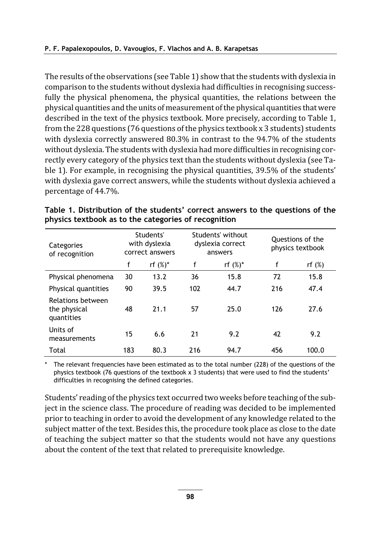The results of the observations (see Table 1) show that the students with dyslexia in comparison to the students without dyslexia had difficulties in recognising successfully the physical phenomena, the physical quantities, the relations between the physical quantities and the units of measurement of the physical quantities that were described in the text of the physics textbook. More precisely, according to Table 1, from the 228 questions (76 questions of the physics textbook x 3 students) students with dyslexia correctly answered 80.3% in contrast to the 94.7% of the students without dyslexia. The students with dyslexia had more difficulties in recognising correctly every category of the physics text than the students without dyslexia (see Table 1). For example, in recognising the physical quantities, 39.5% of the students' with dyslexia gave correct answers, while the students without dyslexia achieved a percentage of 44.7%.

| Categories<br>of recognition                    | Students'<br>with dyslexia<br>correct answers |             |     | Students' without<br>dyslexia correct<br>answers | Questions of the<br>physics textbook |           |  |
|-------------------------------------------------|-----------------------------------------------|-------------|-----|--------------------------------------------------|--------------------------------------|-----------|--|
|                                                 | f                                             | rf $(\%)^*$ | f   | rf $(\%)^*$                                      | f                                    | rf $(\%)$ |  |
| Physical phenomena                              | 30                                            | 13.2        | 36  | 15.8                                             | 72                                   | 15.8      |  |
| Physical quantities                             | 90                                            | 39.5        | 102 | 44.7                                             | 216                                  | 47.4      |  |
| Relations between<br>the physical<br>quantities | 48                                            | 21.1        | 57  | 25.0                                             | 126                                  | 27.6      |  |
| Units of<br>measurements                        | 15                                            | 6.6         | 21  | 9.2                                              | 42                                   | 9.2       |  |
| Total                                           | 183                                           | 80.3        | 216 | 94.7                                             | 456                                  | 100.0     |  |

Table 1. Distribution of the students' correct answers to the questions of the physics textbook as to the categories of recognition

The relevant frequencies have been estimated as to the total number (228) of the questions of the physics textbook (76 questions of the textbook x 3 students) that were used to find the students' difficulties in recognising the defined categories.

Students' reading of the physics text occurred two weeks before teaching of the subject in the science class. The procedure of reading was decided to be implemented prior to teaching in order to avoid the development of any knowledge related to the subject matter of the text. Besides this, the procedure took place as close to the date of teaching the subject matter so that the students would not have any questions about the content of the text that related to prerequisite knowledge.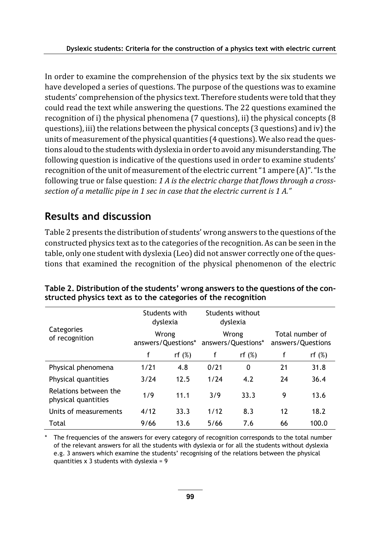In order to examine the comprehension of the physics text by the six students we have developed a series of questions. The purpose of the questions was to examine students' comprehension of the physics text. Therefore students were told that they could read the text while answering the questions. The 22 questions examined the recognition of i) the physical phenomena (7 questions), ii) the physical concepts (8 questions), iii) the relations between the physical concepts (3 questions) and iv) the units of measurement of the physical quantities (4 questions). We also read the questions aloud to the students with dyslexia in order to avoid any misunderstanding. The following question is indicative of the questions used in order to examine students' recognition of the unit of measurement of the electric current "1 ampere (A)". "Is the following true or false question: 1 A is the electric charge that flows through a crosssection of a metallic pipe in 1 sec in case that the electric current is 1 A."  $\,$ 

## Results and discussion

Table 2 presents the distribution of students' wrong answers to the questions of the constructed physics text as to the categories of the recognition. As can be seen in the table, only one student with dyslexia (Leo) did not answer correctly one of the questions that examined the recognition of the physical phenomenon of the electric

|                                              | Students with<br>dyslexia   |           | Students without<br>dyslexia |           |                                      |           |
|----------------------------------------------|-----------------------------|-----------|------------------------------|-----------|--------------------------------------|-----------|
| Categories<br>of recognition                 | Wrong<br>answers/Questions* |           | Wrong<br>answers/Questions*  |           | Total number of<br>answers/Questions |           |
|                                              | f                           | rf $(\%)$ | f                            | rf $(\%)$ | f                                    | rf $(\%)$ |
| Physical phenomena                           | 1/21                        | 4.8       | 0/21                         | 0         | 21                                   | 31.8      |
| Physical quantities                          | 3/24                        | 12.5      | 1/24                         | 4.2       | 24                                   | 36.4      |
| Relations between the<br>physical quantities | 1/9                         | 11.1      | 3/9                          | 33.3      | 9                                    | 13.6      |
| Units of measurements                        | 4/12                        | 33.3      | 1/12                         | 8.3       | 12                                   | 18.2      |
| Total                                        | 9/66                        | 13.6      | 5/66                         | 7.6       | 66                                   | 100.0     |

Table 2. Distribution of the students' wrong answers to the questions of the constructed physics text as to the categories of the recognition

The frequencies of the answers for every category of recognition corresponds to the total number of the relevant answers for all the students with dyslexia or for all the students without dyslexia e.g. 3 answers which examine the students' recognising of the relations between the physical quantities  $x$  3 students with dyslexia = 9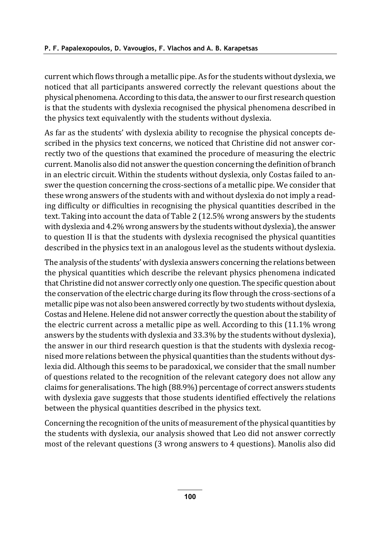current which flows through a metallic pipe. As for the students without dyslexia, we noticed that all participants answered correctly the relevant questions about the physical phenomena. According to this data, the answer to our first research question is that the students with dyslexia recognised the physical phenomena described in the physics text equivalently with the students without dyslexia.

As far as the students' with dyslexia ability to recognise the physical concepts described in the physics text concerns, we noticed that Christine did not answer correctly two of the questions that examined the procedure of measuring the electric current. Manolis also did not answer the question concerning the definition of branch in an electric circuit. Within the students without dyslexia, only Costas failed to answer the question concerning the cross-sections of a metallic pipe. We consider that these wrong answers of the students with and without dyslexia do not imply a reading difficulty or difficulties in recognising the physical quantities described in the text. Taking into account the data of Table 2 (12.5% wrong answers by the students with dyslexia and 4.2% wrong answers by the students without dyslexia), the answer to question II is that the students with dyslexia recognised the physical quantities described in the physics text in an analogous level as the students without dyslexia.

The analysis of the students' with dyslexia answers concerning the relations between the physical quantities which describe the relevant physics phenomena indicated that Christine did not answer correctly only one question. The specific question about the conservation of the electric charge during its flow through the cross-sections of a metallic pipe was not also been answered correctly by two students without dyslexia, Costas and Helene. Helene did not answer correctly the question about the stability of the electric current across a metallic pipe as well. According to this (11.1% wrong answers by the students with dyslexia and 33.3% by the students without dyslexia), the answer in our third research question is that the students with dyslexia recognised more relations between the physical quantities than the students without dyslexia did. Although this seems to be paradoxical, we consider that the small number of questions related to the recognition of the relevant category does not allow any claims for generalisations. The high (88.9%) percentage of correct answers students with dyslexia gave suggests that those students identified effectively the relations between the physical quantities described in the physics text.

Concerning the recognition of the units of measurement of the physical quantities by the students with dyslexia, our analysis showed that Leo did not answer correctly most of the relevant questions (3 wrong answers to 4 questions). Manolis also did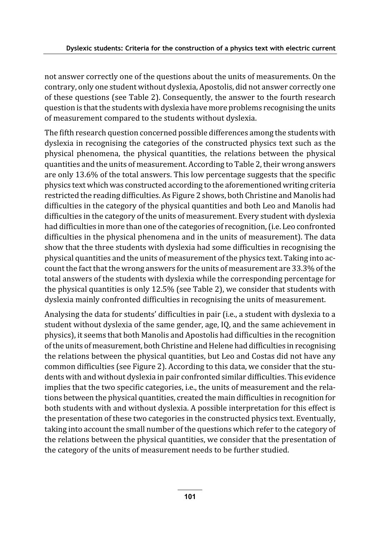not answer correctly one of the questions about the units of measurements. On the contrary, only one student without dyslexia, Apostolis, did not answer correctly one of these questions (see Table 2). Consequently, the answer to the fourth research question is that the students with dyslexia have more problems recognising the units of measurement compared to the students without dyslexia.

The fifth research question concerned possible differences among the students with dyslexia in recognising the categories of the constructed physics text such as the physical phenomena, the physical quantities, the relations between the physical quantities and the units of measurement. According to Table 2, their wrong answers are only 13.6% of the total answers. This low percentage suggests that the specific physics text which was constructed according to the aforementioned writing criteria restricted the reading difficulties. As Figure 2 shows, both Christine and Manolis had difficulties in the category of the physical quantities and both Leo and Manolis had difficulties in the category of the units of measurement. Every student with dyslexia had difficulties in more than one of the categories of recognition, (i.e. Leo confronted difficulties in the physical phenomena and in the units of measurement). The data show that the three students with dyslexia had some difficulties in recognising the physical quantities and the units of measurement of the physics text. Taking into account the fact that the wrong answers for the units of measurement are 33.3% of the total answers of the students with dyslexia while the corresponding percentage for the physical quantities is only 12.5% (see Table 2), we consider that students with dyslexia mainly confronted difficulties in recognising the units of measurement.

Analysing the data for students' difficulties in pair (i.e., a student with dyslexia to a student without dyslexia of the same gender, age, IQ, and the same achievement in physics), it seems that both Manolis and Apostolis had difficulties in the recognition of the units of measurement, both Christine and Helene had difficulties in recognising the relations between the physical quantities, but Leo and Costas did not have any common difficulties (see Figure 2). According to this data, we consider that the students with and without dyslexia in pair confronted similar difficulties. This evidence implies that the two specific categories, i.e., the units of measurement and the relations between the physical quantities, created the main difficulties in recognition for both students with and without dyslexia. A possible interpretation for this effect is the presentation of these two categories in the constructed physics text. Eventually, taking into account the small number of the questions which refer to the category of the relations between the physical quantities, we consider that the presentation of the category of the units of measurement needs to be further studied.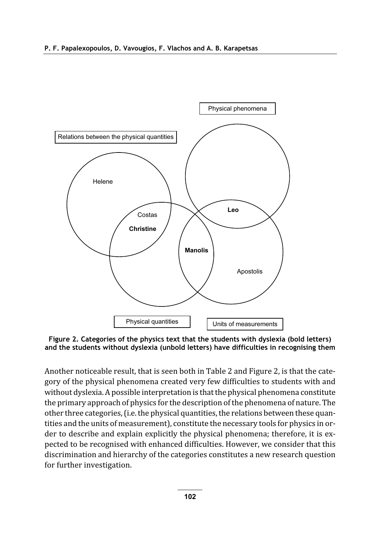

Figure 2. Categories of the physics text that the students with dyslexia (bold letters) and the students without dyslexia (unbold letters) have difficulties in recognising them

Another noticeable result, that is seen both in Table 2 and Figure 2, is that the category of the physical phenomena created very few difficulties to students with and without dyslexia. A possible interpretation is that the physical phenomena constitute the primary approach of physics for the description of the phenomena of nature. The other three categories, (i.e. the physical quantities, the relations between these quantities and the units of measurement), constitute the necessary tools for physics in order to describe and explain explicitly the physical phenomena; therefore, it is expected to be recognised with enhanced difficulties. However, we consider that this discrimination and hierarchy of the categories constitutes a new research question for further investigation.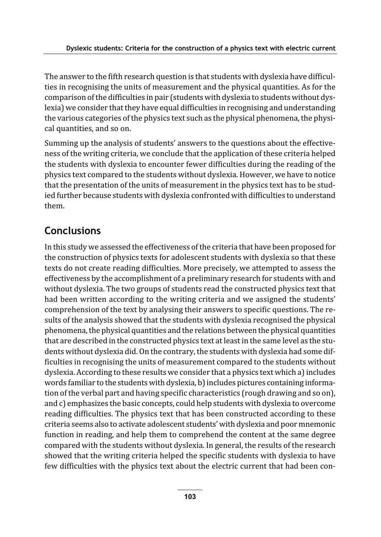The answer to the fifth research question is that students with dyslexia have difficulties in recognising the units of measurement and the physical quantities. As for the comparison of the difficulties in pair (students with dyslexia to students without dyslexia) we consider that they have equal difficulties in recognising and understanding the various categories of the physics text such as the physical phenomena, the physical quantities, and so on.

Summing up the analysis of students' answers to the questions about the effectiveness of the writing criteria, we conclude that the application of these criteria helped the students with dyslexia to encounter fewer difficulties during the reading of the physics text compared to the students without dyslexia. However, we have to notice that the presentation of the units of measurement in the physics text has to be studied further because students with dyslexia confronted with difficulties to understand them.

# **Conclusions**

In this study we assessed the effectiveness of the criteria that have been proposed for the construction of physics texts for adolescent students with dyslexia so that these texts do not create reading difficulties. More precisely, we attempted to assess the effectiveness by the accomplishment of a preliminary research for students with and without dyslexia. The two groups of students read the constructed physics text that had been written according to the writing criteria and we assigned the students' comprehension of the text by analysing their answers to specific questions. The results of the analysis showed that the students with dyslexia recognised the physical phenomena, the physical quantities and the relations between the physical quantities that are described in the constructed physics text at least in the same level as the students without dyslexia did. On the contrary, the students with dyslexia had some difficulties in recognising the units of measurement compared to the students without dyslexia. According to these results we consider that a physics text which a) includes words familiar to the students with dyslexia, b) includes pictures containing information of the verbal part and having specific characteristics (rough drawing and so on), and c) emphasizes the basic concepts, could help students with dyslexia to overcome reading difficulties. The physics text that has been constructed according to these criteria seems also to activate adolescent students' with dyslexia and poor mnemonic function in reading, and help them to comprehend the content at the same degree compared with the students without dyslexia. In general, the results of the research showed that the writing criteria helped the specific students with dyslexia to have few difficulties with the physics text about the electric current that had been con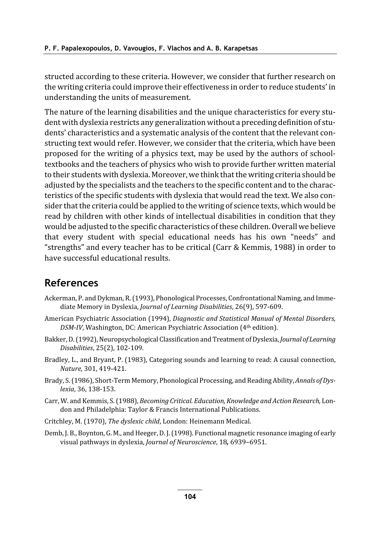structed according to these criteria. However, we consider that further research on the writing criteria could improve their effectiveness in order to reduce students' in understanding the units of measurement.

The nature of the learning disabilities and the unique characteristics for every student with dyslexia restricts any generalization without a preceding definition of students' characteristics and a systematic analysis of the content that the relevant constructing text would refer. However, we consider that the criteria, which have been proposed for the writing of a physics text, may be used by the authors of schooltextbooks and the teachers of physics who wish to provide further written material to their students with dyslexia. Moreover, we think that the writing criteria should be adjusted by the specialists and the teachers to the specific content and to the characteristics of the specific students with dyslexia that would read the text. We also consider that the criteria could be applied to the writing of science texts, which would be read by children with other kinds of intellectual disabilities in condition that they would be adjusted to the specific characteristics of these children. Overall we believe that every student with special educational needs has his own "needs" and "strengths" and every teacher has to be critical (Carr & Kemmis, 1988) in order to have successful educational results.

### **References**

- Ackerman, P. and Dykman, R. (1993), Phonological Processes, Confrontational Naming, and Immediate Memory in Dyslexia, Journal of Learning Disabilities, 26(9), 597-609.
- American Psychiatric Association (1994), Diagnostic and Statistical Manual of Mental Disorders, DSM-IV, Washington, DC: American Psychiatric Association (4th edition).
- Bakker, D. (1992), Neuropsychological Classification and Treatment of Dyslexia, Journal of Learning Disabilities, 25(2), 102-109.
- Bradley, L., and Bryant, P. (1983), Categoring sounds and learning to read: A causal connection, Nature, 301, 419-421.
- Brady, S. (1986), Short-Term Memory, Phonological Processing, and Reading Ability, Annals of Dyslexia, 36, 138-153.
- Carr, W. and Kemmis, S. (1988), Becoming Critical. Education, Knowledge and Action Research, London and Philadelphia: Taylor & Francis International Publications.
- Critchley, M. (1970), The dyslexic child, London: Heinemann Medical.
- Demb, J. B., Boynton, G. M., and Heeger, D. J. (1998). Functional magnetic resonance imaging of early visual pathways in dyslexia, Journal of Neuroscience, 18, 6939-6951.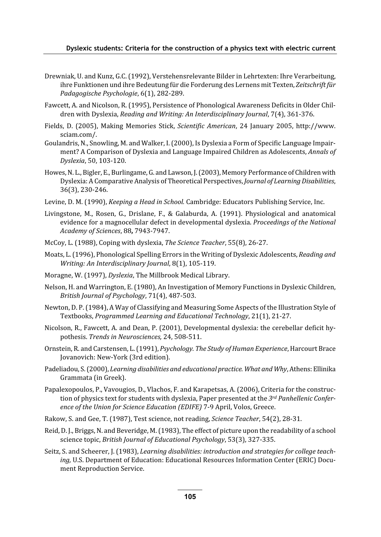- Drewniak, U. and Kunz, G.C. (1992), Verstehensrelevante Bilder in Lehrtexten: Ihre Verarbeitung, ihre Funktionen und ihre Bedeutung für die Forderung des Lernens mit Texten, Zeitschrift für Padagogische Psychologie, 6(1), 282-289.
- Fawcett, A. and Nicolson, R. (1995), Persistence of Phonological Awareness Deficits in Older Children with Dyslexia, Reading and Writing: An Interdisciplinary Journal, 7(4), 361-376.
- Fields, D. (2005), Making Memories Stick, Scientific American, 24 January 2005, http://www. sciam.com/.
- Goulandris, N., Snowling, M. and Walker, I. (2000), Is Dyslexia a Form of Specific Language Impairment? A Comparison of Dyslexia and Language Impaired Children as Adolescents, Annals of Dyslexia, 50, 103-120.
- Howes, N. L., Bigler, E., Burlingame, G. and Lawson, J. (2003), Memory Performance of Children with Dyslexia: A Comparative Analysis of Theoretical Perspectives, Journal of Learning Disabilities, 36(3), 230-246.
- Levine, D. M. (1990), *Keeping a Head in School.* Cambridge: Educators Publishing Service, Inc.
- Livingstone, M., Rosen, G., Drislane, F., & Galaburda, A. (1991). Physiological and anatomical evidence for a magnocellular defect in developmental dyslexia, *Proceedings of the National* Academy of Sciences, 88, 7943-7947.
- McCoy, L. (1988), Coping with dyslexia, The Science Teacher, 55(8), 26-27.
- Moats, L. (1996), Phonological Spelling Errors in the Writing of Dyslexic Adolescents, Reading and Writing: An Interdisciplinary Journal, 8(1), 105-119.
- Moragne, W. (1997), Dyslexia, The Millbrook Medical Library.
- Nelson, H. and Warrington, E. (1980), An Investigation of Memory Functions in Dyslexic Children, British Journal of Psychology, 71(4), 487-503.
- Newton, D. P. (1984), A Way of Classifying and Measuring Some Aspects of the Illustration Style of Textbooks, Programmed Learning and Educational Technology, 21(1), 21-27.
- Nicolson, R., Fawcett, A. and Dean, P. (2001), Developmental dyslexia: the cerebellar deficit hypothesis. Trends in Neurosciences, 24, 508-511.
- Ornstein, R. and Carstensen, L. (1991), Psychology. The Study of Human Experience, Harcourt Brace Jovanovich: New-York (3rd edition).
- Padeliadou, S. (2000), Learning disabilities and educational practice. What and Why, Athens: Ellinika Grammata (in Greek).
- Papalexopoulos, P., Vavougios, D., Vlachos, F. and Karapetsas, A. (2006), Criteria for the construction of physics text for students with dyslexia, Paper presented at the 3rd Panhellenic Conference of the Union for Science Education (EDIFE) 7-9 April, Volos, Greece.
- Rakow, S. and Gee, T. (1987), Test science, not reading, Science Teacher, 54(2), 28-31.
- Reid, D. J., Briggs, N. and Beveridge, M. (1983), The effect of picture upon the readability of a school science topic, British Journal of Educational Psychology, 53(3), 327-335.
- Seitz, S. and Scheerer, J. (1983), Learning disabilities: introduction and strategies for college teaching, U.S. Department of Education: Educational Resources Information Center (ERIC) Document Reproduction Service.